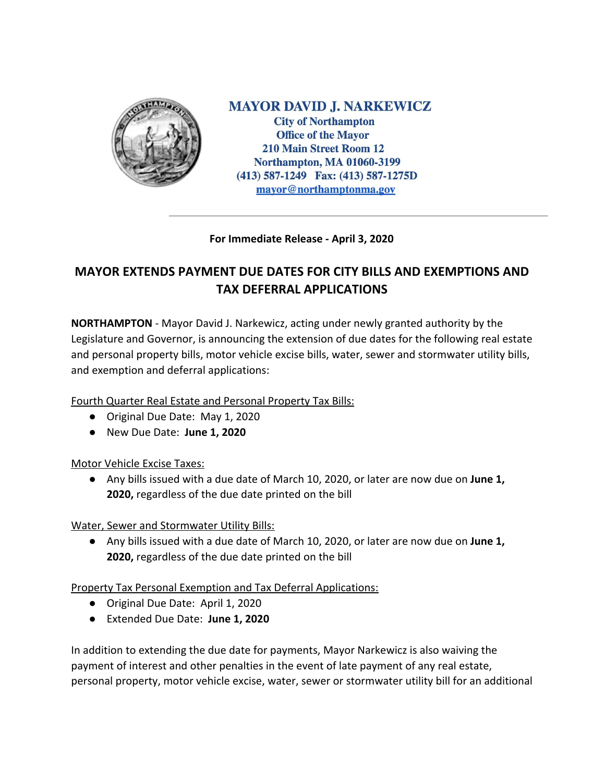

**MAYOR DAVID J. NARKEWICZ City of Northampton Office of the Mayor 210 Main Street Room 12 Northampton, MA 01060-3199** (413) 587-1249 Fax: (413) 587-1275D mayor@northamptonma.gov

## **For Immediate Release - April 3, 2020**

## **MAYOR EXTENDS PAYMENT DUE DATES FOR CITY BILLS AND EXEMPTIONS AND TAX DEFERRAL APPLICATIONS**

**NORTHAMPTON** - Mayor David J. Narkewicz, acting under newly granted authority by the Legislature and Governor, is announcing the extension of due dates for the following real estate and personal property bills, motor vehicle excise bills, water, sewer and stormwater utility bills, and exemption and deferral applications:

Fourth Quarter Real Estate and Personal Property Tax Bills:

- Original Due Date: May 1, 2020
- New Due Date: **June 1, 2020**

Motor Vehicle Excise Taxes:

● Any bills issued with a due date of March 10, 2020, or later are now due on **June 1, 2020,** regardless of the due date printed on the bill

Water, Sewer and Stormwater Utility Bills:

● Any bills issued with a due date of March 10, 2020, or later are now due on **June 1, 2020,** regardless of the due date printed on the bill

Property Tax Personal Exemption and Tax Deferral Applications:

- Original Due Date: April 1, 2020
- Extended Due Date: **June 1, 2020**

In addition to extending the due date for payments, Mayor Narkewicz is also waiving the payment of interest and other penalties in the event of late payment of any real estate, personal property, motor vehicle excise, water, sewer or stormwater utility bill for an additional